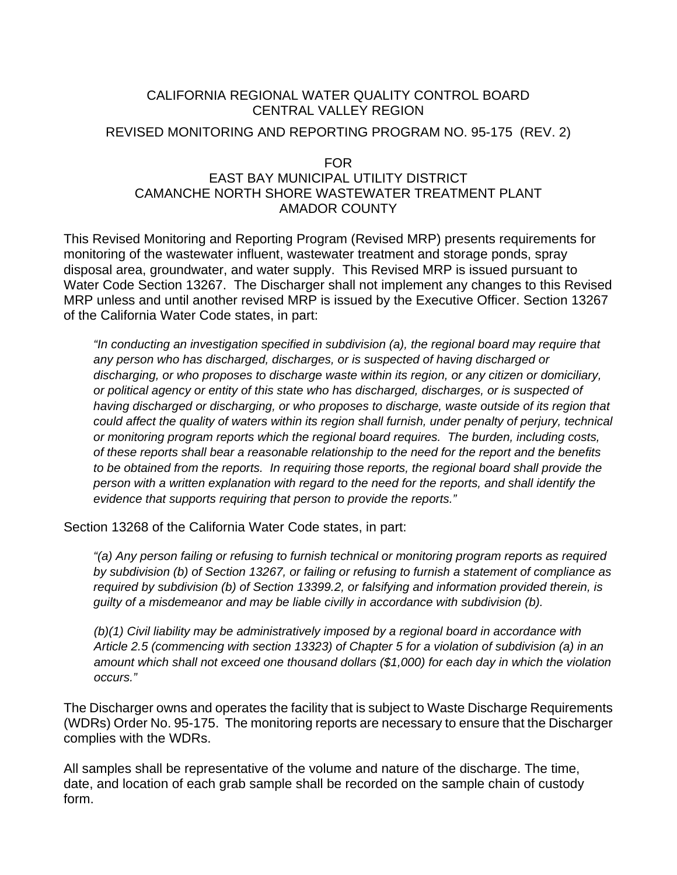# CALIFORNIA REGIONAL WATER QUALITY CONTROL BOARD CENTRAL VALLEY REGION

### REVISED MONITORING AND REPORTING PROGRAM NO. 95-175 (REV. 2)

### FOR EAST BAY MUNICIPAL UTILITY DISTRICT CAMANCHE NORTH SHORE WASTEWATER TREATMENT PLANT AMADOR COUNTY

This Revised Monitoring and Reporting Program (Revised MRP) presents requirements for monitoring of the wastewater influent, wastewater treatment and storage ponds, spray disposal area, groundwater, and water supply. This Revised MRP is issued pursuant to Water Code Section 13267. The Discharger shall not implement any changes to this Revised MRP unless and until another revised MRP is issued by the Executive Officer. Section 13267 of the California Water Code states, in part:

*"In conducting an investigation specified in subdivision (a), the regional board may require that any person who has discharged, discharges, or is suspected of having discharged or discharging, or who proposes to discharge waste within its region, or any citizen or domiciliary, or political agency or entity of this state who has discharged, discharges, or is suspected of having discharged or discharging, or who proposes to discharge, waste outside of its region that could affect the quality of waters within its region shall furnish, under penalty of perjury, technical or monitoring program reports which the regional board requires. The burden, including costs, of these reports shall bear a reasonable relationship to the need for the report and the benefits to be obtained from the reports. In requiring those reports, the regional board shall provide the person with a written explanation with regard to the need for the reports, and shall identify the evidence that supports requiring that person to provide the reports."* 

Section 13268 of the California Water Code states, in part:

*"(a) Any person failing or refusing to furnish technical or monitoring program reports as required by subdivision (b) of Section 13267, or failing or refusing to furnish a statement of compliance as required by subdivision (b) of Section 13399.2, or falsifying and information provided therein, is guilty of a misdemeanor and may be liable civilly in accordance with subdivision (b).* 

*(b)(1) Civil liability may be administratively imposed by a regional board in accordance with Article 2.5 (commencing with section 13323) of Chapter 5 for a violation of subdivision (a) in an amount which shall not exceed one thousand dollars (\$1,000) for each day in which the violation occurs."* 

The Discharger owns and operates the facility that is subject to Waste Discharge Requirements (WDRs) Order No. 95-175. The monitoring reports are necessary to ensure that the Discharger complies with the WDRs.

All samples shall be representative of the volume and nature of the discharge. The time, date, and location of each grab sample shall be recorded on the sample chain of custody form.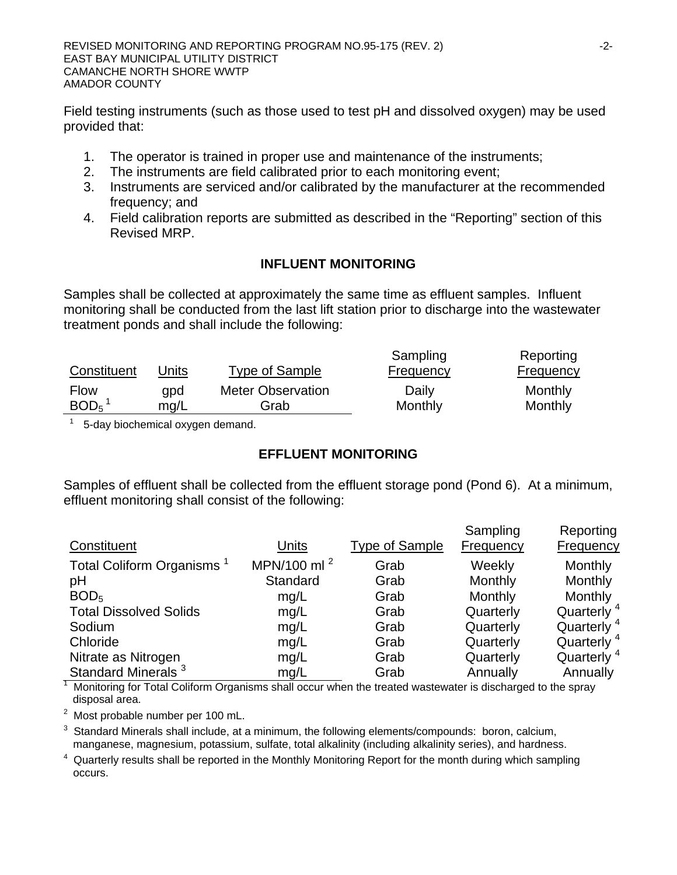Field testing instruments (such as those used to test pH and dissolved oxygen) may be used provided that:

- 1. The operator is trained in proper use and maintenance of the instruments;
- 2. The instruments are field calibrated prior to each monitoring event;
- 3. Instruments are serviced and/or calibrated by the manufacturer at the recommended frequency; and
- 4. Field calibration reports are submitted as described in the "Reporting" section of this Revised MRP.

## **INFLUENT MONITORING**

Samples shall be collected at approximately the same time as effluent samples. Influent monitoring shall be conducted from the last lift station prior to discharge into the wastewater treatment ponds and shall include the following:

|                  |       |                          | Sampling         | Reporting        |
|------------------|-------|--------------------------|------------------|------------------|
| Constituent      | Units | Type of Sample           | <b>Frequency</b> | <b>Frequency</b> |
| <b>Flow</b>      | qpd   | <b>Meter Observation</b> | Daily            | Monthly          |
| BOD <sub>5</sub> | mg/L  | Grab                     | Monthly          | Monthly          |

 $1$  5-day biochemical oxygen demand.

# **EFFLUENT MONITORING**

Samples of effluent shall be collected from the effluent storage pond (Pond 6). At a minimum, effluent monitoring shall consist of the following:

|                                       |                 |                       | Sampling         | Reporting              |
|---------------------------------------|-----------------|-----------------------|------------------|------------------------|
| Constituent                           | Units           | <b>Type of Sample</b> | <b>Frequency</b> | <b>Frequency</b>       |
| Total Coliform Organisms <sup>1</sup> | MPN/100 ml $^2$ | Grab                  | Weekly           | Monthly                |
| pH                                    | Standard        | Grab                  | Monthly          | Monthly                |
| BOD <sub>5</sub>                      | mg/L            | Grab                  | Monthly          | Monthly                |
| <b>Total Dissolved Solids</b>         | mg/L            | Grab                  | Quarterly        | Quarterly <sup>4</sup> |
| Sodium                                | mg/L            | Grab                  | Quarterly        | Quarterly <sup>4</sup> |
| Chloride                              | mg/L            | Grab                  | Quarterly        | Quarterly <sup>4</sup> |
| Nitrate as Nitrogen                   | mg/L            | Grab                  | Quarterly        | Quarterly <sup>4</sup> |
| Standard Minerals <sup>3</sup>        | mg/L            | Grab                  | Annually         | Annually               |

 $1$  Monitoring for Total Coliform Organisms shall occur when the treated wastewater is discharged to the spray disposal area.

2 Most probable number per 100 mL.

 $3$  Standard Minerals shall include, at a minimum, the following elements/compounds: boron, calcium, manganese, magnesium, potassium, sulfate, total alkalinity (including alkalinity series), and hardness.

<sup>4</sup> Quarterly results shall be reported in the Monthly Monitoring Report for the month during which sampling occurs.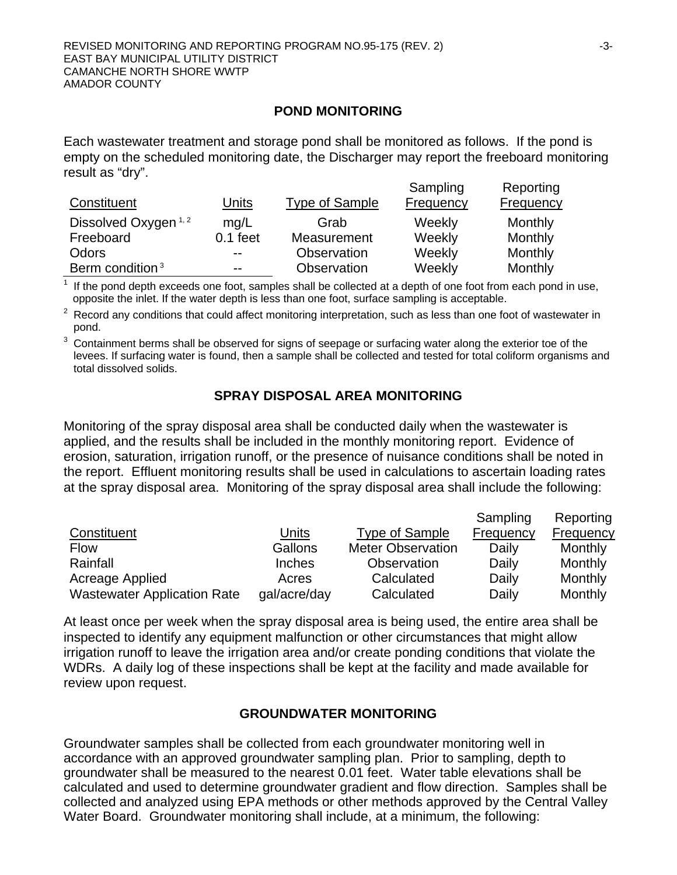#### **POND MONITORING**

Each wastewater treatment and storage pond shall be monitored as follows. If the pond is empty on the scheduled monitoring date, the Discharger may report the freeboard monitoring result as "dry".

| Constituent                     | Units      | Type of Sample | Sampling<br>Frequency | Reporting<br>Frequency |
|---------------------------------|------------|----------------|-----------------------|------------------------|
| Dissolved Oxygen <sup>1,2</sup> | mq/L       | Grab           | Weekly                | Monthly                |
| Freeboard                       | $0.1$ feet | Measurement    | Weekly                | Monthly                |
| Odors                           | $- -$      | Observation    | Weekly                | Monthly                |
| Berm condition <sup>3</sup>     | $- -$      | Observation    | Weekly                | Monthly                |

If the pond depth exceeds one foot, samples shall be collected at a depth of one foot from each pond in use, opposite the inlet. If the water depth is less than one foot, surface sampling is acceptable.

 $2\text{}$  Record any conditions that could affect monitoring interpretation, such as less than one foot of wastewater in pond.

 $3$  Containment berms shall be observed for signs of seepage or surfacing water along the exterior toe of the levees. If surfacing water is found, then a sample shall be collected and tested for total coliform organisms and total dissolved solids.

## **SPRAY DISPOSAL AREA MONITORING**

Monitoring of the spray disposal area shall be conducted daily when the wastewater is applied, and the results shall be included in the monthly monitoring report. Evidence of erosion, saturation, irrigation runoff, or the presence of nuisance conditions shall be noted in the report. Effluent monitoring results shall be used in calculations to ascertain loading rates at the spray disposal area. Monitoring of the spray disposal area shall include the following:

|                                    |              |                          | Sampling  | Reporting        |
|------------------------------------|--------------|--------------------------|-----------|------------------|
| Constituent                        | Units        | <b>Type of Sample</b>    | Frequency | <b>Frequency</b> |
| <b>Flow</b>                        | Gallons      | <b>Meter Observation</b> | Daily     | Monthly          |
| Rainfall                           | Inches       | Observation              | Daily     | Monthly          |
| Acreage Applied                    | Acres        | Calculated               | Daily     | Monthly          |
| <b>Wastewater Application Rate</b> | gal/acre/day | Calculated               | Daily     | Monthly          |

At least once per week when the spray disposal area is being used, the entire area shall be inspected to identify any equipment malfunction or other circumstances that might allow irrigation runoff to leave the irrigation area and/or create ponding conditions that violate the WDRs. A daily log of these inspections shall be kept at the facility and made available for review upon request.

### **GROUNDWATER MONITORING**

Groundwater samples shall be collected from each groundwater monitoring well in accordance with an approved groundwater sampling plan. Prior to sampling, depth to groundwater shall be measured to the nearest 0.01 feet. Water table elevations shall be calculated and used to determine groundwater gradient and flow direction. Samples shall be collected and analyzed using EPA methods or other methods approved by the Central Valley Water Board. Groundwater monitoring shall include, at a minimum, the following: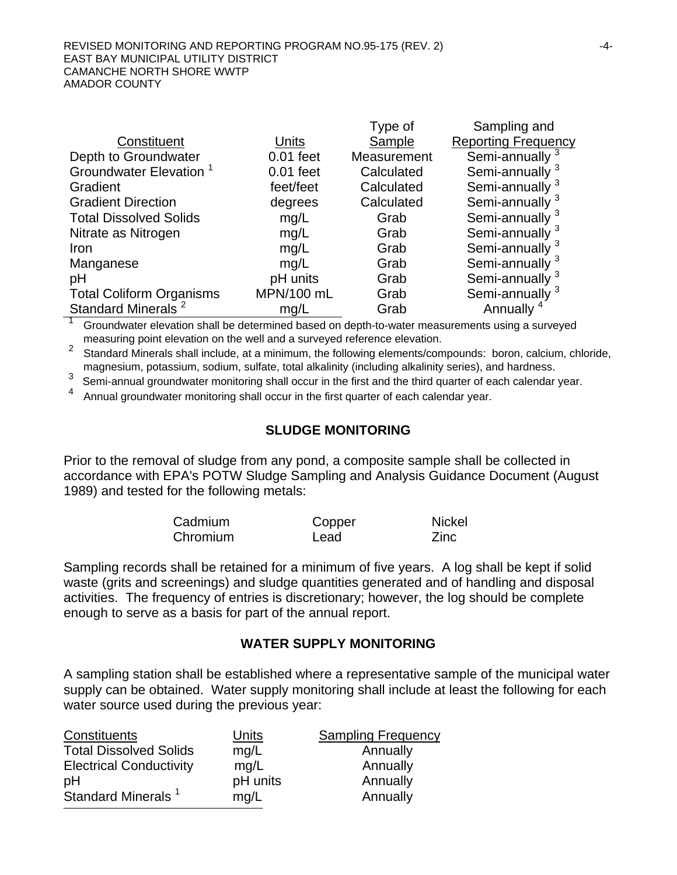|                                    |             | Type of     | Sampling and               |
|------------------------------------|-------------|-------------|----------------------------|
| Constituent                        | Units       | Sample      | <b>Reporting Frequency</b> |
| Depth to Groundwater               | $0.01$ feet | Measurement | Semi-annually <sup>3</sup> |
| Groundwater Elevation <sup>1</sup> | $0.01$ feet | Calculated  | Semi-annually              |
| Gradient                           | feet/feet   | Calculated  | Semi-annually              |
| <b>Gradient Direction</b>          | degrees     | Calculated  | Semi-annually <sup>3</sup> |
| <b>Total Dissolved Solids</b>      | mg/L        | Grab        | Semi-annually <sup>3</sup> |
| Nitrate as Nitrogen                | mg/L        | Grab        | Semi-annually <sup>3</sup> |
| Iron                               | mg/L        | Grab        | Semi-annually              |
| Manganese                          | mg/L        | Grab        | Semi-annually              |
| pH                                 | pH units    | Grab        | Semi-annually              |
| <b>Total Coliform Organisms</b>    | MPN/100 mL  | Grab        | Semi-annually <sup>3</sup> |
| Standard Minerals <sup>2</sup>     | mg/L        | Grab        | Annually                   |

<sup>1</sup> Groundwater elevation shall be determined based on depth-to-water measurements using a surveyed measuring point elevation on the well and a surveyed reference elevation.

<sup>2</sup> Standard Minerals shall include, at a minimum, the following elements/compounds: boron, calcium, chloride, magnesium, potassium, sodium, sulfate, total alkalinity (including alkalinity series), and hardness.

3 Semi-annual groundwater monitoring shall occur in the first and the third quarter of each calendar year.

<sup>4</sup> Annual groundwater monitoring shall occur in the first quarter of each calendar year.

#### **SLUDGE MONITORING**

Prior to the removal of sludge from any pond, a composite sample shall be collected in accordance with EPA's POTW Sludge Sampling and Analysis Guidance Document (August 1989) and tested for the following metals:

| Cadmium  | Copper | <b>Nickel</b> |
|----------|--------|---------------|
| Chromium | Lead   | Zinc          |

Sampling records shall be retained for a minimum of five years. A log shall be kept if solid waste (grits and screenings) and sludge quantities generated and of handling and disposal activities. The frequency of entries is discretionary; however, the log should be complete enough to serve as a basis for part of the annual report.

#### **WATER SUPPLY MONITORING**

A sampling station shall be established where a representative sample of the municipal water supply can be obtained. Water supply monitoring shall include at least the following for each water source used during the previous year:

| Constituents                   | Units    | <b>Sampling Frequency</b> |
|--------------------------------|----------|---------------------------|
| <b>Total Dissolved Solids</b>  | mg/L     | Annually                  |
| <b>Electrical Conductivity</b> | mq/L     | Annually                  |
| pH                             | pH units | Annually                  |
| Standard Minerals <sup>1</sup> | mg/L     | Annually                  |
|                                |          |                           |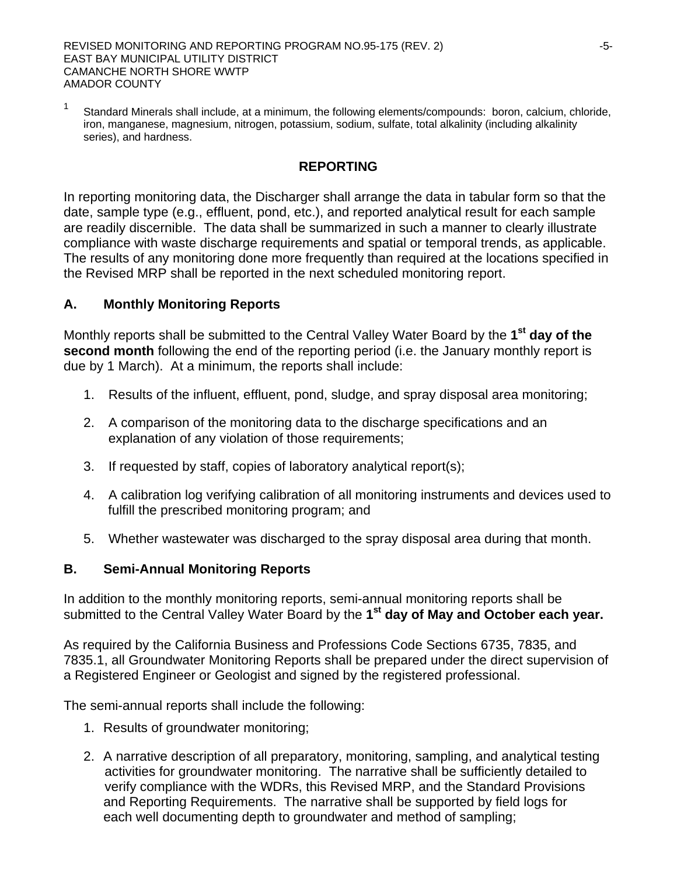REVISED MONITORING AND REPORTING PROGRAM NO.95-175 (REV. 2) EAST BAY MUNICIPAL UTILITY DISTRICT CAMANCHE NORTH SHORE WWTP AMADOR COUNTY

<sup>1</sup> Standard Minerals shall include, at a minimum, the following elements/compounds: boron, calcium, chloride, iron, manganese, magnesium, nitrogen, potassium, sodium, sulfate, total alkalinity (including alkalinity series), and hardness.

### **REPORTING**

In reporting monitoring data, the Discharger shall arrange the data in tabular form so that the date, sample type (e.g., effluent, pond, etc.), and reported analytical result for each sample are readily discernible. The data shall be summarized in such a manner to clearly illustrate compliance with waste discharge requirements and spatial or temporal trends, as applicable. The results of any monitoring done more frequently than required at the locations specified in the Revised MRP shall be reported in the next scheduled monitoring report.

## **A. Monthly Monitoring Reports**

Monthly reports shall be submitted to the Central Valley Water Board by the **1st day of the second month** following the end of the reporting period (i.e. the January monthly report is due by 1 March). At a minimum, the reports shall include:

- 1. Results of the influent, effluent, pond, sludge, and spray disposal area monitoring;
- 2. A comparison of the monitoring data to the discharge specifications and an explanation of any violation of those requirements;
- 3. If requested by staff, copies of laboratory analytical report(s);
- 4. A calibration log verifying calibration of all monitoring instruments and devices used to fulfill the prescribed monitoring program; and
- 5. Whether wastewater was discharged to the spray disposal area during that month.

### **B. Semi-Annual Monitoring Reports**

In addition to the monthly monitoring reports, semi-annual monitoring reports shall be submitted to the Central Valley Water Board by the **1st day of May and October each year.**

As required by the California Business and Professions Code Sections 6735, 7835, and 7835.1, all Groundwater Monitoring Reports shall be prepared under the direct supervision of a Registered Engineer or Geologist and signed by the registered professional.

The semi-annual reports shall include the following:

- 1. Results of groundwater monitoring;
- 2. A narrative description of all preparatory, monitoring, sampling, and analytical testing activities for groundwater monitoring. The narrative shall be sufficiently detailed to verify compliance with the WDRs, this Revised MRP, and the Standard Provisions and Reporting Requirements. The narrative shall be supported by field logs for each well documenting depth to groundwater and method of sampling;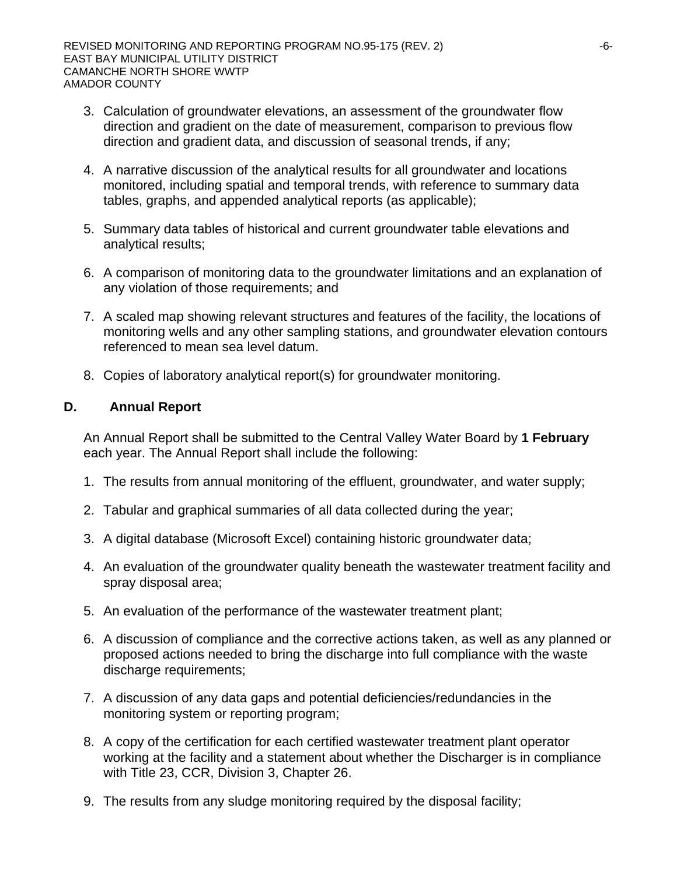- 3. Calculation of groundwater elevations, an assessment of the groundwater flow direction and gradient on the date of measurement, comparison to previous flow direction and gradient data, and discussion of seasonal trends, if any;
- 4. A narrative discussion of the analytical results for all groundwater and locations monitored, including spatial and temporal trends, with reference to summary data tables, graphs, and appended analytical reports (as applicable);
- 5. Summary data tables of historical and current groundwater table elevations and analytical results;
- 6. A comparison of monitoring data to the groundwater limitations and an explanation of any violation of those requirements; and
- 7. A scaled map showing relevant structures and features of the facility, the locations of monitoring wells and any other sampling stations, and groundwater elevation contours referenced to mean sea level datum.
- 8. Copies of laboratory analytical report(s) for groundwater monitoring.

## **D. Annual Report**

An Annual Report shall be submitted to the Central Valley Water Board by **1 February** each year. The Annual Report shall include the following:

- 1. The results from annual monitoring of the effluent, groundwater, and water supply;
- 2. Tabular and graphical summaries of all data collected during the year;
- 3. A digital database (Microsoft Excel) containing historic groundwater data;
- 4. An evaluation of the groundwater quality beneath the wastewater treatment facility and spray disposal area;
- 5. An evaluation of the performance of the wastewater treatment plant;
- 6. A discussion of compliance and the corrective actions taken, as well as any planned or proposed actions needed to bring the discharge into full compliance with the waste discharge requirements;
- 7. A discussion of any data gaps and potential deficiencies/redundancies in the monitoring system or reporting program;
- 8. A copy of the certification for each certified wastewater treatment plant operator working at the facility and a statement about whether the Discharger is in compliance with Title 23, CCR, Division 3, Chapter 26.
- 9. The results from any sludge monitoring required by the disposal facility;